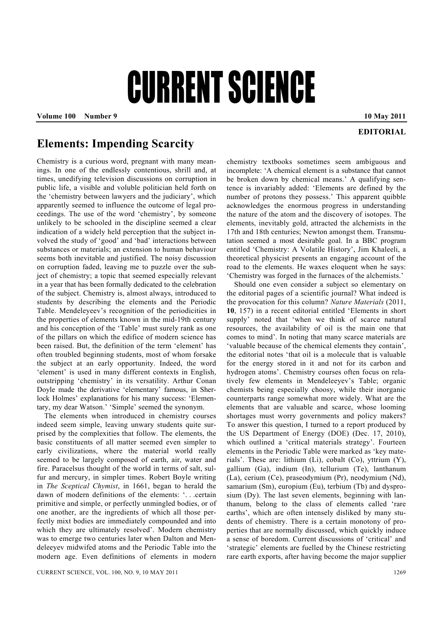## CURRENT SCIENCE

**Volume 100 Number 9 10 May 2011 10 May 2011** 

## **EDITORIAL**

## **Elements: Impending Scarcity**

Chemistry is a curious word, pregnant with many meanings. In one of the endlessly contentious, shrill and, at times, unedifying television discussions on corruption in public life, a visible and voluble politician held forth on the 'chemistry between lawyers and the judiciary', which apparently seemed to influence the outcome of legal proceedings. The use of the word 'chemistry', by someone unlikely to be schooled in the discipline seemed a clear indication of a widely held perception that the subject involved the study of 'good' and 'bad' interactions between substances or materials; an extension to human behaviour seems both inevitable and justified. The noisy discussion on corruption faded, leaving me to puzzle over the subject of chemistry; a topic that seemed especially relevant in a year that has been formally dedicated to the celebration of the subject. Chemistry is, almost always, introduced to students by describing the elements and the Periodic Table. Mendeleyeev's recognition of the periodicities in the properties of elements known in the mid-19th century and his conception of the 'Table' must surely rank as one of the pillars on which the edifice of modern science has been raised. But, the definition of the term 'element' has often troubled beginning students, most of whom forsake the subject at an early opportunity. Indeed, the word 'element' is used in many different contexts in English, outstripping 'chemistry' in its versatility. Arthur Conan Doyle made the derivative 'elementary' famous, in Sherlock Holmes' explanations for his many success: 'Elementary, my dear Watson.' 'Simple' seemed the synonym.

 The elements when introduced in chemistry courses indeed seem simple, leaving unwary students quite surprised by the complexities that follow. The elements, the basic constituents of all matter seemed even simpler to early civilizations, where the material world really seemed to be largely composed of earth, air, water and fire. Paracelsus thought of the world in terms of salt, sulfur and mercury, in simpler times. Robert Boyle writing in *The Sceptical Chymist*, in 1661, began to herald the dawn of modern definitions of the elements: '. . .certain primitive and simple, or perfectly unmingled bodies, or of one another, are the ingredients of which all those perfectly mixt bodies are immediately compounded and into which they are ultimately resolved'. Modern chemistry was to emerge two centuries later when Dalton and Mendeleeyev midwifed atoms and the Periodic Table into the modern age. Even definitions of elements in modern chemistry textbooks sometimes seem ambiguous and incomplete: 'A chemical element is a substance that cannot be broken down by chemical means.' A qualifying sentence is invariably added: 'Elements are defined by the number of protons they possess.' This apparent quibble acknowledges the enormous progress in understanding the nature of the atom and the discovery of isotopes. The elements, inevitably gold, attracted the alchemists in the 17th and 18th centuries; Newton amongst them. Transmutation seemed a most desirable goal. In a BBC program entitled 'Chemistry: A Volatile History', Jim Khaleeli, a theoretical physicist presents an engaging account of the road to the elements. He waxes eloquent when he says: 'Chemistry was forged in the furnaces of the alchemists.'

 Should one even consider a subject so elementary on the editorial pages of a scientific journal? What indeed is the provocation for this column? *Nature Materials* (2011, **10**, 157) in a recent editorial entitled 'Elements in short supply' noted that 'when we think of scarce natural resources, the availability of oil is the main one that comes to mind'. In noting that many scarce materials are 'valuable because of the chemical elements they contain', the editorial notes 'that oil is a molecule that is valuable for the energy stored in it and not for its carbon and hydrogen atoms'. Chemistry courses often focus on relatively few elements in Mendeleeyev's Table; organic chemists being especially choosy, while their inorganic counterparts range somewhat more widely. What are the elements that are valuable and scarce, whose looming shortages must worry governments and policy makers? To answer this question, I turned to a report produced by the US Department of Energy (DOE) (Dec. 17, 2010), which outlined a 'critical materials strategy'. Fourteen elements in the Periodic Table were marked as 'key materials'. These are: lithium (Li), cobalt (Co), yttrium (Y), gallium (Ga), indium (In), tellurium (Te), lanthanum (La), cerium (Ce), praseodymium (Pr), neodymium (Nd), samarium (Sm), europium (Eu), terbium (Tb) and dysprosium (Dy). The last seven elements, beginning with lanthanum, belong to the class of elements called 'rare earths', which are often intensely disliked by many students of chemistry. There is a certain monotony of properties that are normally discussed, which quickly induce a sense of boredom. Current discussions of 'critical' and 'strategic' elements are fuelled by the Chinese restricting rare earth exports, after having become the major supplier